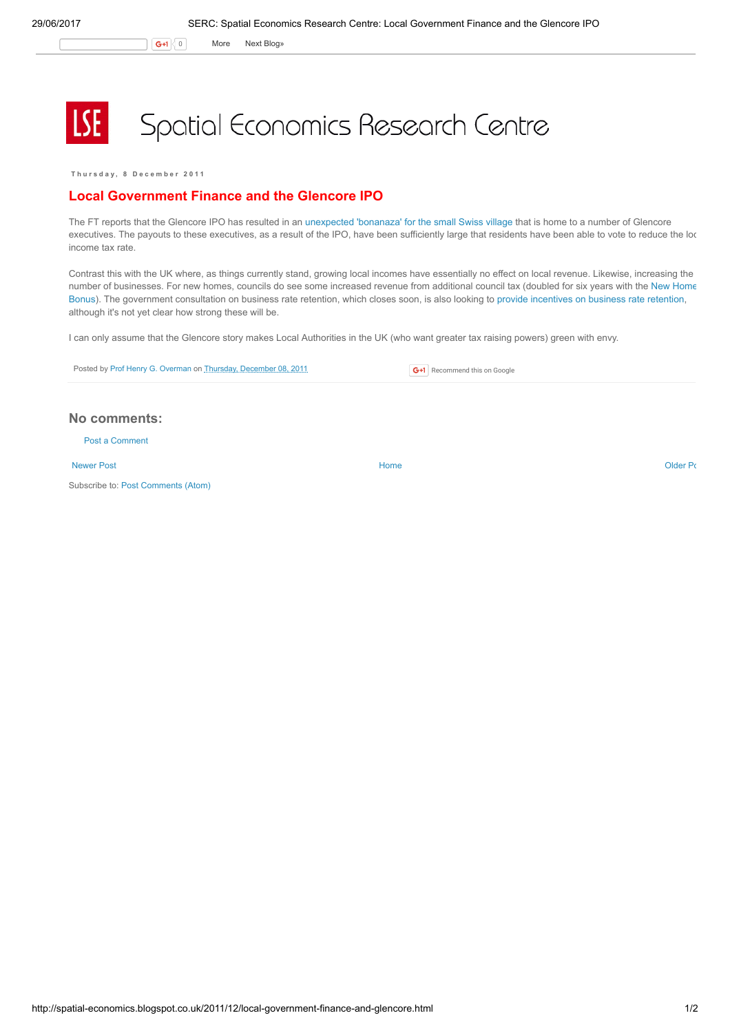G+1 0 More Next [Blog»](https://www.blogger.com/next-blog?navBar=true&blogID=974562301377041914)

## **LSE** Spatial Economics Research Centre

Thursday, 8 December 2011

## Local Government Finance and the Glencore IPO

The FT reports that the Glencore IPO has resulted in an [unexpected](http://www.ft.com/cms/s/0/f6abae1c-201c-11e1-8462-00144feabdc0.html?ftcamp=rss#axzz1fvuXRVk3) 'bonanaza' for the small Swiss village that is home to a number of Glencore executives. The payouts to these executives, as a result of the IPO, have been sufficiently large that residents have been able to vote to reduce the loc income tax rate.

Contrast this with the UK where, as things currently stand, growing local incomes have essentially no effect on local revenue. Likewise, increasing the number of [businesses.](http://spatial-economics.blogspot.com/2011/12/is-new-homes-bonus-working-part-2.html) For new homes, councils do see some increased revenue from additional council tax (doubled for six years with the New Home Bonus). The government consultation on business rate retention, which closes soon, is also looking to provide [incentives](http://spatial-economics.blogspot.com/2011/07/local-government-finance.html) on business rate retention, although it's not yet clear how strong these will be.

I can only assume that the Glencore story makes Local Authorities in the UK (who want greater tax raising powers) green with envy.

| Posted by Prof Henry G. Overman on Thursday, December 08, 2011 |  | G+1 Recommend this on Google |
|----------------------------------------------------------------|--|------------------------------|
|----------------------------------------------------------------|--|------------------------------|

## No comments:

Post a [Comment](https://www.blogger.com/comment.g?blogID=974562301377041914&postID=1139575065098887736)

[Newer](http://spatial-economics.blogspot.co.uk/2011/12/serc-at-city-hall.html) Post **New Account Contract Account Contract Account Contract Account Contract Account Contract [Older](http://spatial-economics.blogspot.co.uk/2011/12/high-speed-rail-delays.html) Post** 

Subscribe to: Post [Comments](http://spatial-economics.blogspot.com/feeds/1139575065098887736/comments/default) (Atom)

http://spatial-economics.blogspot.co.uk/2011/12/local-government-finance-and-glencore.html 1/2